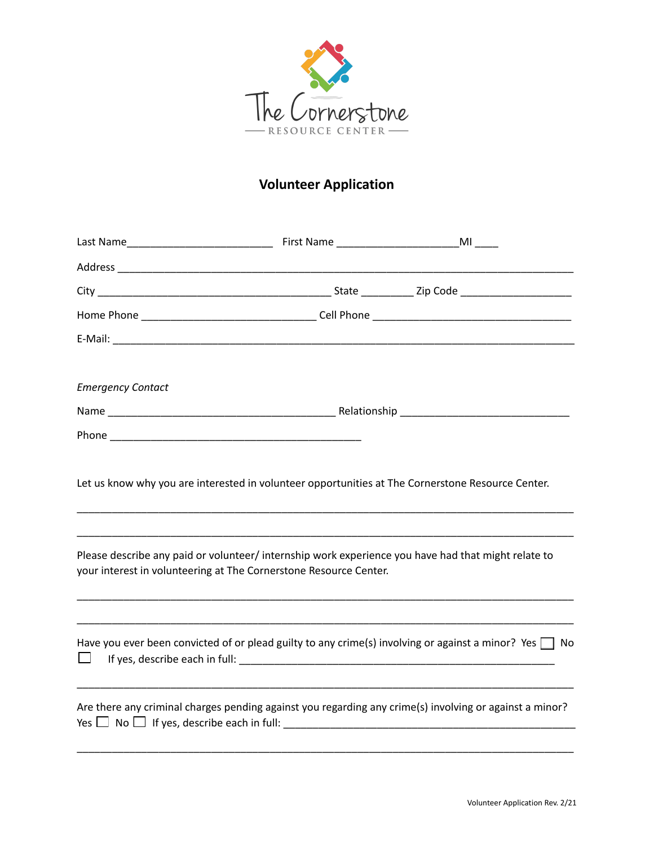

## **Volunteer Application**

| <b>Emergency Contact</b>                                                                                                                                                                                                                                                      |                                                                                                             |
|-------------------------------------------------------------------------------------------------------------------------------------------------------------------------------------------------------------------------------------------------------------------------------|-------------------------------------------------------------------------------------------------------------|
|                                                                                                                                                                                                                                                                               |                                                                                                             |
|                                                                                                                                                                                                                                                                               |                                                                                                             |
| Let us know why you are interested in volunteer opportunities at The Cornerstone Resource Center.<br>Please describe any paid or volunteer/ internship work experience you have had that might relate to<br>your interest in volunteering at The Cornerstone Resource Center. |                                                                                                             |
|                                                                                                                                                                                                                                                                               | Have you ever been convicted of or plead guilty to any crime(s) involving or against a minor? Yes $\Box$ No |
| Are there any criminal charges pending against you regarding any crime(s) involving or against a minor?                                                                                                                                                                       |                                                                                                             |